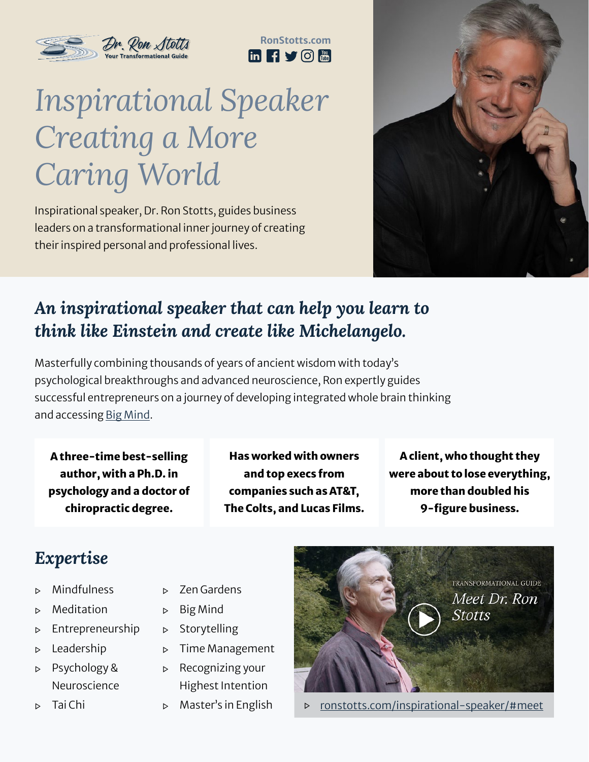



# *Inspirational Speaker Creating a More Caring World*

Inspirational speaker, Dr. Ron Stotts, guides business leaders on a transformational inner journey of creating their inspired personal and professional lives.



### *An inspirational speaker that can help you learn to think like Einstein and create like Michelangelo.*

Masterfully combining thousands of years of ancient wisdom with today's psychological breakthroughs and advanced neuroscience, Ron expertly guides successful entrepreneurs on a journey of developing integrated whole brain thinking and accessing [Big Mind.](https://ronstotts.com/how-to-access-big-mind/)

A three-time best-selling author, with a Ph.D. in psychology and a doctor of chiropractic degree.

Has worked with owners and top execs from companies such as AT&T, The Colts, and Lucas Films.

A client, who thought they were about to lose everything, more than doubled his 9-figure business.

## *Expertise*

- ▷ Mindfulness
- ▷ Meditation
- ▷ Entrepreneurship
- ▷ Leadership
- ▷ Psychology & Neuroscience
- ▷ Tai Chi
- ▷ Zen Gardens
- ▷ Big Mind
- ▷ Storytelling
- ▷ Time Management
- ▷ Recognizing your Highest Intention
- ▷ Master's in English



▷ [ronstotts.com/inspirational-speaker/#meet](https://ronstotts.com/inspirational-speaker/#meet)